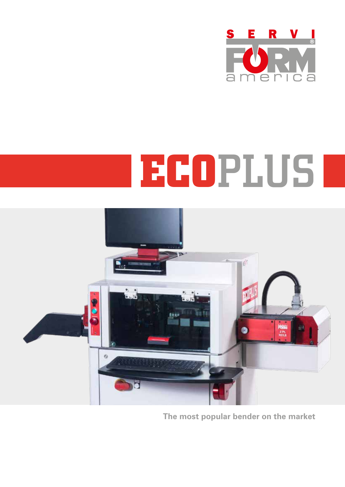

## **ECO**PLUS



**The most popular bender on the market**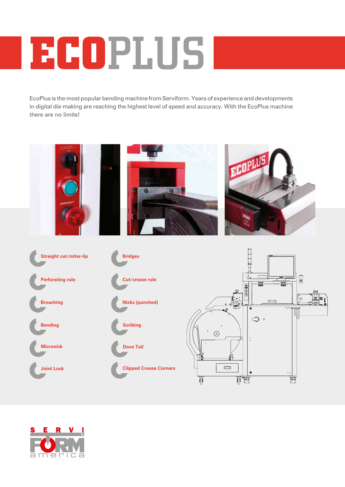## **ECO**PLUS

EcoPlus is the most popular bending machine from Serviform. Years of experience and developments in digital die making are reaching the highest level of speed and accuracy. With the EcoPlus machine there are no limits!



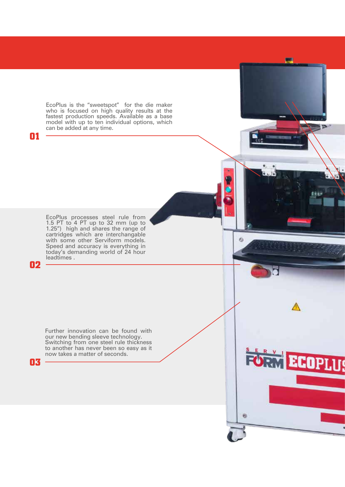EcoPlus is the "sweetspot" for the die maker who is focused on high quality results at the fastest production speeds. Available as a base model with up to ten individual options, which can be added at any time.

EcoPlus processes steel rule from 1.5 PT to 4 PT up to 32 mm (up to 1.25") high and shares the range of cartridges which are interchangable with some other Serviform models. Speed and accuracy is everything in today's demanding world of 24 hour leadtimes .

**02**

**03**

**01**

Further innovation can be found with our new bending sleeve technology. Switching from one steel rule thickness to another has never been so easy as it now takes a matter of seconds.

**ECOPL** 6

Ø.

清潔田子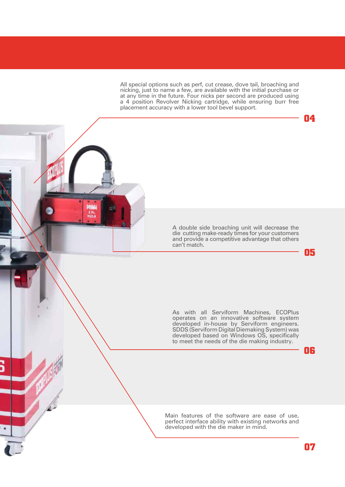All special options such as perf, cut crease, dove tail, broaching and nicking, just to name a few, are available with the initial purchase or at any time in the future. Four nicks per second are produced using a 4 position Revolver Nicking cartridge, while ensuring burr free placement accuracy with a lower tool bevel support.

ie)

ž F

A double side broaching unit will decrease the die cutting make-ready times for your customers and provide a competitive advantage that others can't match.

As with all Serviform Machines, ECOPlus operates on an innovative software system developed in-house by Serviform engineers. SDDS (Serviform Digital Diemaking System) was developed based on Windows OS, specifically to meet the needs of the die making industry.

**06**

**05**

**04**

Main features of the software are ease of use, perfect interface ability with existing networks and developed with the die maker in mind.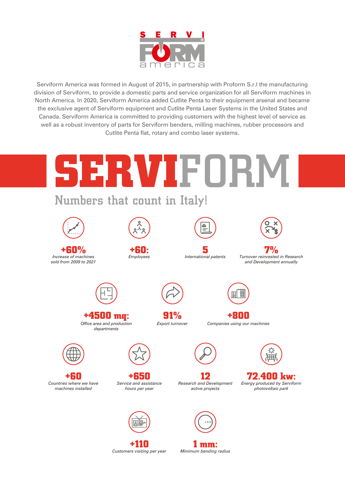

Serviform America was formed in August of 2015, in partnership with Proform S.r.l the manufacturing division of Serviform, to provide a domestic parts and service organization for all Serviform machines in North America. In 2020, Serviform America added Cutlite Penta to their equipment arsenal and became the exclusive agent of Serviform equipment and Cutlite Penta Laser Systems in the United States and Canada. Serviform America is committed to providing customers with the highest level of service as well as a robust inventory of parts for Serviform benders, milling machines, rubber processors and Cutlite Penta flat, rotary and combo laser systems.